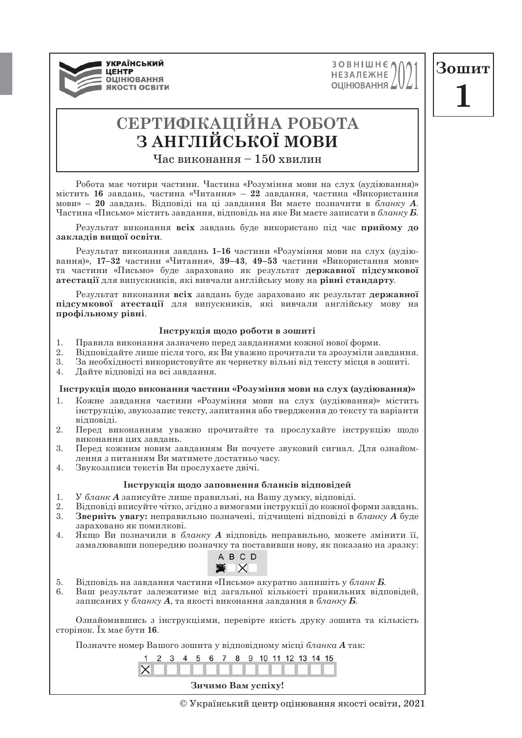

ЗОВНІШНЄ. **НЕЗАЛЕЖНЕ ОШНЮВАННЯ** 

# $3$ ошит **1**

## СЕРТИФІКАЦІЙНА РОБОТА **З АНГЛІЙСЬКОЇ МОВИ**

Час виконання – 150 хвилин

Робота має чотири частини. Частина «Розуміння мови на слух (аудіювання)» містить 16 завдань, частина «Читання» - 22 завдання, частина «Використання мови» - 20 завдань. Відповіді на ці завдання Ви маєте позначити в бланку А. Частина «Письмо» містить завдання, відповідь на яке Ви маєте записати в бланку Б.

Результат виконання всіх завлань буле використано піл час **прийому ло** закладів вишої освіти.

Результат виконання завдань 1-16 частини «Розуміння мови на слух (аудіювання)». 17-32 частини «Читання», 39-43, 49-53 частини «Використання мови» та частини «Письмо» буде зараховано як результат державної підсумкової **атестації** для випускників, які вивчали англійську мову на **рівні стандарту**.

Результат виконання всіх завдань буде зараховано як результат державної підсумкової атестації для випускників, які вивчали англійську мову на профільному рівні.

#### Інструкція щодо роботи в зошиті

- 1. Правила виконання зазначено перел завланнями кожної нової форми.
- 2. Відповідайте лише після того, як Ви уважно прочитали та зрозуміли завдання.<br>З за необхілності використовуйте як чернетку вільні віл тексту місця в зошиті
- За необхілності використовуйте як чернетку вільні віл тексту місця в зошиті.
- 4. Лайте вілповілі на всі завлання.

#### Iнструкція щодо виконання частини «Розуміння мови на слух (аудіювання)»

- 1. Кожне завлання частини «Розуміння мови на слух (ауліювання)» містить інструкцію, звукозапис тексту, запитання або твердження до тексту та варіанти вілповілі.
- 2. Перед виконанням уважно прочитайте та прослухайте інструкцію щодо виконання цих завдань.
- 3. Перед кожним новим завданням Ви почуєте звуковий сигнал. Для ознайомлення з питанням Ви матимете достатньо часу.
- 4. Звукозаписи текстів Ви прослухаєте двічі.

#### Iнструкція щодо заповнення бланків відповідей

- 1. *У бланк А*записуйте лише правильні, на Вашу думку, відповілі,
- 2. Відповіді вписуйте чітко, згідно з вимогами інструкції до кожної форми завдань.
- 3. **Зверніть увагу:** неправильно позначені, підчищені відповіді в *бланку А* буде зараховано як помилкові.
- 4. Якщо Ви позначили в *бланку А* відповідь неправильно, можете змінити її, замалювавши попередню позначку та поставивши нову, як показано на зразку;

| В | C D |  |
|---|-----|--|
|   | ×   |  |

- 5. Відповідь на завдання частини «Письмо» акуратно запишіть у бланк **Б**.
- 6. Ваш результат залежатиме від загальної кількості правильних відповідей, записаних у *бланку* А. та якості виконання завлання в бланку Б.

Ознайомившись з інструкціями, перевірте якість лруку зошита та кількість ȟȠȜȞȳțȜȘǦȣȚȎȱȏȡȠȖ**16**

Позначте номер Вашого зошита у відповідному місці бланка А так:



Зичимо Вам успіху!

© Український центр оцінювання якості освіти, 2021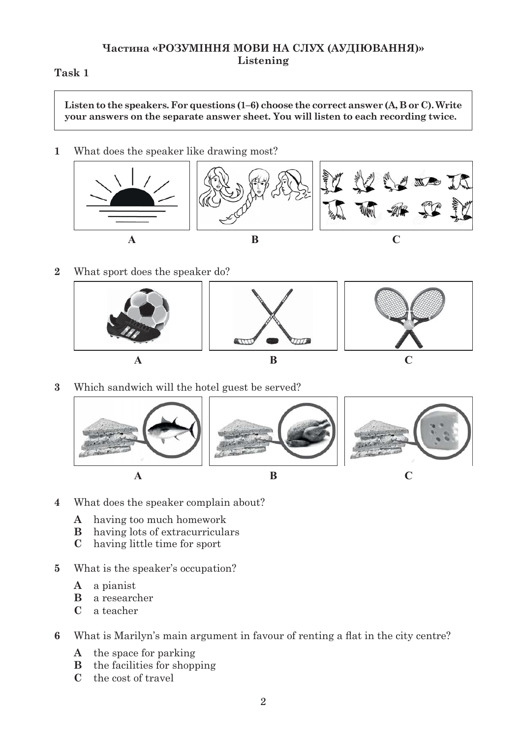## Частина «РОЗУМІННЯ МОВИ НА СЛУХ (АУДІЮВАННЯ)» **Listening**

## Task 1

Listen to the speakers. For questions (1-6) choose the correct answer (A, B or C). Write your answers on the separate answer sheet. You will listen to each recording twice.

**1** What does the speaker like drawing most?



**2** What sport does the speaker do?



Which sandwich will the hotel guest be served?



- **4** What does the speaker complain about?
	- **\$** having too much homework
	- **B** having lots of extracurriculars
	- **&** having little time for sport
- **5** What is the speaker's occupation?
	- **\$** a pianist
	- **B** a researcher
	- **&** a teacher
- **6** What is Marilyn's main argument in favour of renting a flat in the city centre?
	- **\$** the space for parking
	- **B** the facilities for shopping
	- **&** the cost of travel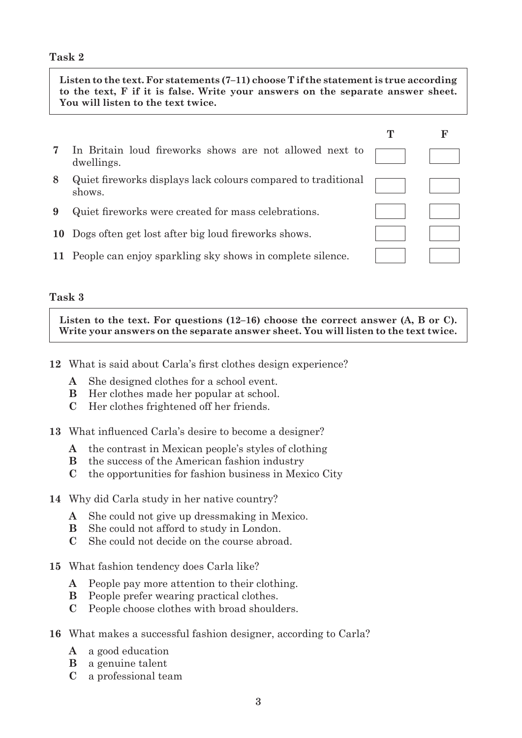#### Task 2

Listen to the text. For statements  $(7-11)$  choose T if the statement is true according to the text, F if it is false. Write your answers on the separate answer sheet. You will listen to the text twice.

|   | In Britain loud fireworks shows are not allowed next to<br>dwellings.   |  |
|---|-------------------------------------------------------------------------|--|
| 8 | Quiet fireworks displays lack colours compared to traditional<br>shows. |  |
| 9 | Quiet fireworks were created for mass celebrations.                     |  |
|   | 10 Dogs often get lost after big loud fireworks shows.                  |  |
|   | 11 People can enjoy sparkling sky shows in complete silence.            |  |

#### Task 3

Listen to the text. For questions  $(12-16)$  choose the correct answer  $(A, B \text{ or } C)$ . Write your answers on the separate answer sheet. You will listen to the text twice.

12 What is said about Carla's first clothes design experience?

- $\mathbf{A}$ She designed clothes for a school event.
- <sub>B</sub> Her clothes made her popular at school.
- $\mathbf C$ Her clothes frightened off her friends.

13 What influenced Carla's desire to become a designer?

- the contrast in Mexican people's styles of clothing  $\mathbf{A}$
- the success of the American fashion industry <sub>B</sub>
- $\mathbf C$ the opportunities for fashion business in Mexico City
- 14 Why did Carla study in her native country?
	- $\mathbf{A}$ She could not give up dressmaking in Mexico.
	- <sub>B</sub> She could not afford to study in London.
	- She could not decide on the course abroad.  $\mathbf C$
- 15 What fashion tendency does Carla like?
	- $\mathbf{A}$ People pay more attention to their clothing.
	- B People prefer wearing practical clothes.
	- $\mathbf C$ People choose clothes with broad shoulders.
- 16 What makes a successful fashion designer, according to Carla?
	- $\mathbf{A}$ a good education
	- $\bf{B}$ a genuine talent
	- $\mathbf C$ a professional team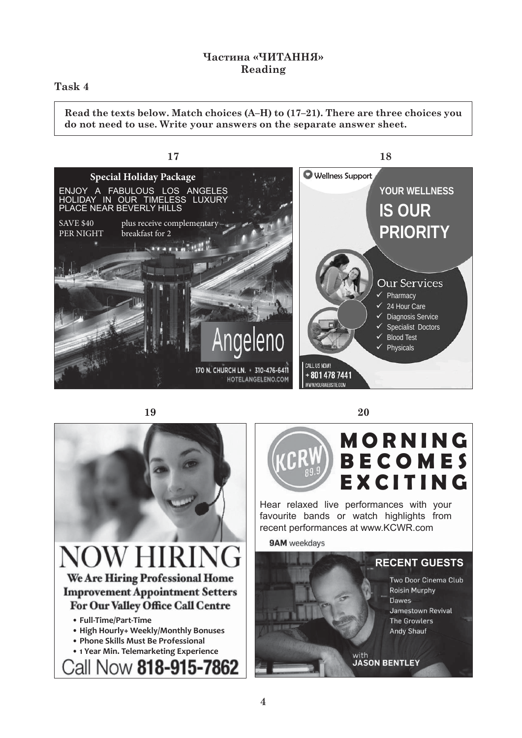#### Частина «ЧИТАННЯ» **Reading**

#### Task 4

Read the texts below. Match choices (A–H) to (17–21). There are three choices you do not need to use. Write your answers on the separate answer sheet.





Call Now **818-915-7862** 

**19 20**



Hear relaxed live performances with your favourite bands or watch highlights from recent performances at www.KCWR.com

**9AM** weekdays

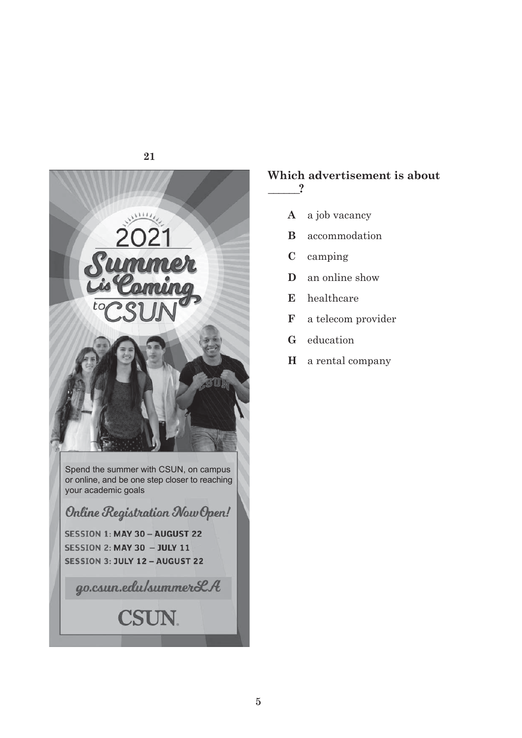

#### **Which advertisement is about BBBBBB"**

- **\$** a job vacancy
- **B** accommodation
- **&** camping
- **D** an online show
- **(** healthcare
- **)** a telecom provider
- **G** education
- **+** a rental company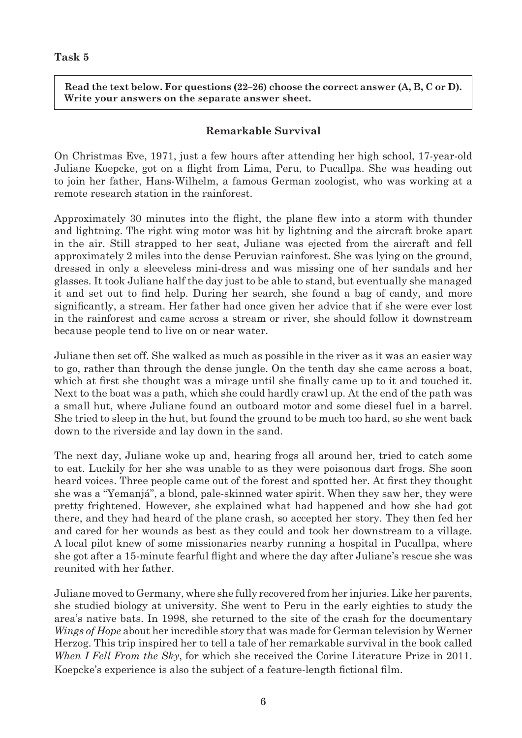Read the text below. For questions (22-26) choose the correct answer (A, B, C or D). Write your answers on the separate answer sheet.

#### Remarkable Survival

On Christmas Eve, 1971, just a few hours after attending her high school, 17-year-old Juliane Koepcke, got on a flight from Lima, Peru, to Pucallpa. She was heading out to join her father, Hans-Wilhelm, a famous German zoologist, who was working at a remote research station in the rainforest.

Approximately 30 minutes into the flight, the plane flew into a storm with thunder and lightning. The right wing motor was hit by lightning and the aircraft broke apart in the air. Still strapped to her seat, Juliane was ejected from the aircraft and fell approximately 2 miles into the dense Peruvian rainforest. She was lying on the ground, dressed in only a sleeveless mini-dress and was missing one of her sandals and her glasses. It took Juliane half the day just to be able to stand, but eventually she managed it and set out to find help. During her search, she found a bag of candy, and more significantly, a stream. Her father had once given her advice that if she were ever lost in the rainforest and came across a stream or river, she should follow it downstream because people tend to live on or near water.

Juliane then set off. She walked as much as possible in the river as it was an easier way to go, rather than through the dense jungle. On the tenth day she came across a boat, which at first she thought was a mirage until she finally came up to it and touched it. Next to the boat was a path, which she could hardly crawl up. At the end of the path was a small hut, where Juliane found an outboard motor and some diesel fuel in a barrel. She tried to sleep in the hut, but found the ground to be much too hard, so she went back down to the riverside and lay down in the sand.

The next day, Juliane woke up and, hearing frogs all around her, tried to catch some to eat. Luckily for her she was unable to as they were poisonous dart frogs. She soon heard voices. Three people came out of the forest and spotted her. At first they thought she was a "Yemanjá", a blond, pale-skinned water spirit. When they saw her, they were pretty frightened. However, she explained what had happened and how she had got there, and they had heard of the plane crash, so accepted her story. They then fed her and cared for her wounds as best as they could and took her downstream to a village. A local pilot knew of some missionaries nearby running a hospital in Pucallpa, where she got after a 15-minute fearful flight and where the day after Juliane's rescue she was reunited with her father.

Juliane moved to Germany, where she fully recovered from her injuries. Like her parents, she studied biology at university. She went to Peru in the early eighties to study the area's native bats. In 1998, she returned to the site of the crash for the documentary Wings of Hope about her incredible story that was made for German television by Werner Herzog. This trip inspired her to tell a tale of her remarkable survival in the book called When I Fell From the Sky, for which she received the Corine Literature Prize in 2011. Koepcke's experience is also the subject of a feature-length fictional film.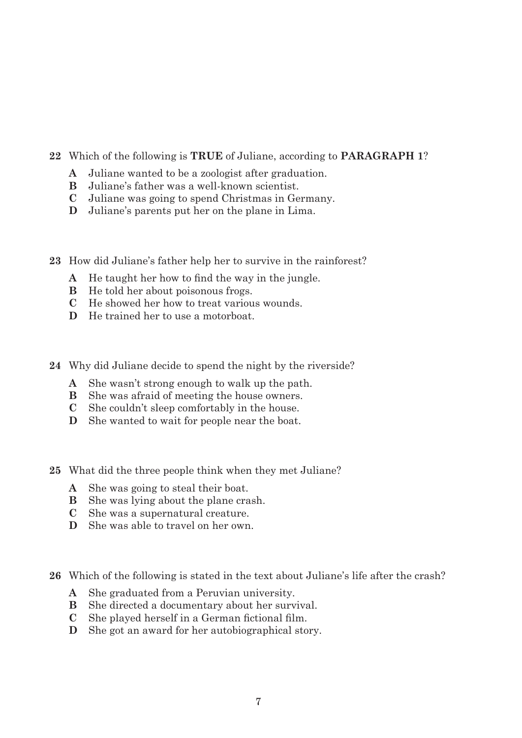- **22** Which of the following is **TRUE** of Juliane, according to **PARAGRAPH** 1?
	- **A** Juliane wanted to be a zoologist after graduation.
	- **B** Juliane's father was a well-known scientist.
	- **C** Juliane was going to spend Christmas in Germany.
	- **D** Juliane's parents put her on the plane in Lima.
- **23** How did Juliane's father help her to survive in the rainforest?
	- **A** He taught her how to find the way in the jungle.
	- **B** He told her about poisonous frogs.
	- **C** He showed her how to treat various wounds.
	- **D** He trained her to use a motorboat.
- **24** Why did Juliane decide to spend the night by the riverside?
	- **A** She wasn't strong enough to walk up the path.
	- **B** She was afraid of meeting the house owners.
	- **C** She couldn't sleep comfortably in the house.
	- **D** She wanted to wait for people near the boat.
- **25** What did the three people think when they met Juliane?
	- **A** She was going to steal their boat.
	- **B** She was lying about the plane crash.
	- **C** She was a supernatural creature.
	- **D** She was able to travel on her own.
- **26** Which of the following is stated in the text about Juliane's life after the crash?
	- **A** She graduated from a Peruvian university.
	- **B** She directed a documentary about her survival.
	- **C** She played herself in a German fictional film.
	- **D** She got an award for her autobiographical story.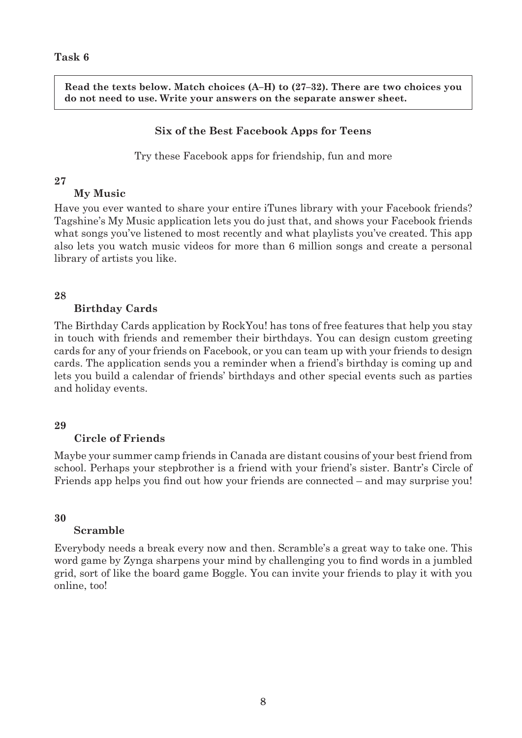Read the texts below. Match choices (A–H) to (27–32). There are two choices you do not need to use. Write your answers on the separate answer sheet.

#### **Six of the Best Facebook Apps for Teens**

Try these Facebook apps for friendship, fun and more

#### **27**

#### **My Music**

Have you ever wanted to share your entire iTunes library with your Facebook friends? Tagshine's My Music application lets you do just that, and shows your Facebook friends what songs you've listened to most recently and what playlists you've created. This app also lets you watch music videos for more than 6 million songs and create a personal library of artists you like.

#### **28**

#### **Birthday Cards**

The Birthday Cards application by RockYou! has tons of free features that help you stay in touch with friends and remember their birthdays. You can design custom greeting cards for any of your friends on Facebook, or you can team up with your friends to design cards. The application sends you a reminder when a friend's birthday is coming up and lets you build a calendar of friends' birthdays and other special events such as parties and holiday events.

#### 29

## **Circle of Friends**

Maybe your summer camp friends in Canada are distant cousins of your best friend from school. Perhaps your stepbrother is a friend with your friend's sister. Bantr's Circle of Friends app helps you find out how your friends are connected  $-$  and may surprise you!

#### 30

#### **Scramble**

Everybody needs a break every now and then. Scramble's a great way to take one. This word game by Zynga sharpens your mind by challenging you to find words in a jumbled grid, sort of like the board game Boggle. You can invite your friends to play it with you online, too!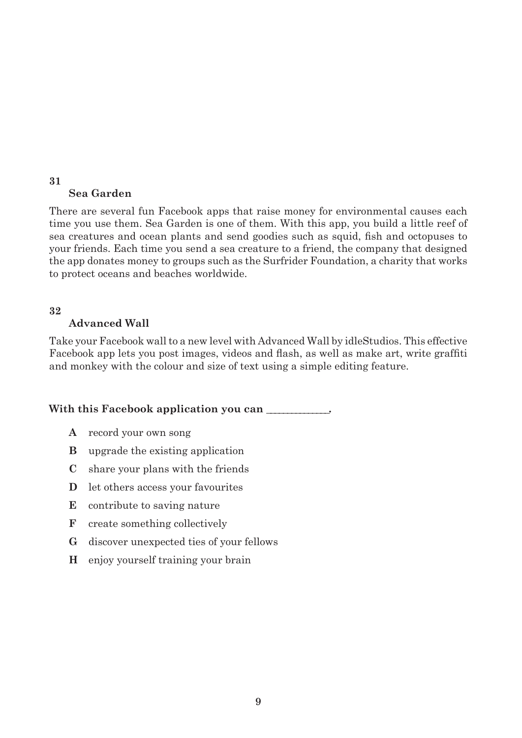#### 31 **Sea Garden**

There are several fun Facebook apps that raise money for environmental causes each time you use them. Sea Garden is one of them. With this app, you build a little reef of sea creatures and ocean plants and send goodies such as squid, fish and octopuses to your friends. Each time you send a sea creature to a friend, the company that designed the app donates money to groups such as the Surfrider Foundation, a charity that works to protect oceans and beaches worldwide.

#### 32

#### **Advanced Wall**

Take your Facebook wall to a new level with Advanced Wall by idleStudios. This effective Facebook app lets you post images, videos and flash, as well as make art, write graffiti and monkey with the colour and size of text using a simple editing feature.

#### With this Facebook application you can

- **\$** record your own song
- **B** upgrade the existing application
- **&** share your plans with the friends
- **D** let others access your favourites
- **E** contribute to saving nature
- **)** create something collectively
- **G** discover unexpected ties of your fellows
- **+** enjoy yourself training your brain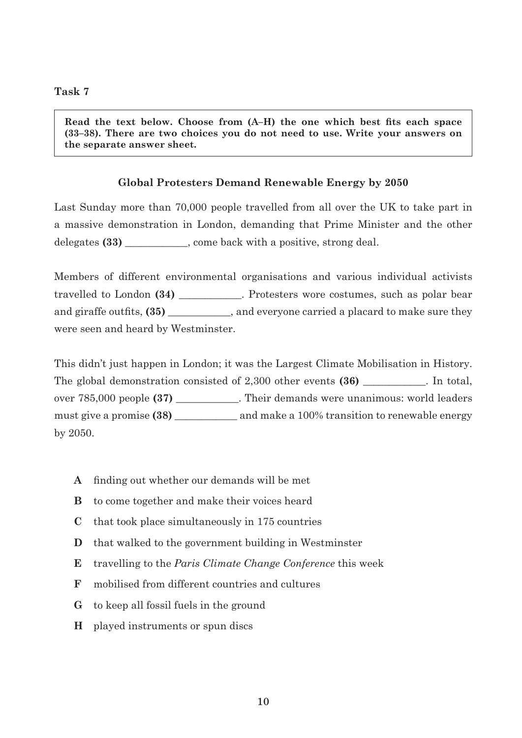Read the text below. Choose from (A-H) the one which best fits each space (33-38). There are two choices you do not need to use. Write your answers on the separate answer sheet.

#### **Global Protesters Demand Renewable Energy by 2050**

Last Sunday more than 70,000 people travelled from all over the UK to take part in a massive demonstration in London, demanding that Prime Minister and the other delegates (33) \_\_\_\_\_\_\_\_\_\_, come back with a positive, strong deal.

Members of different environmental organisations and various individual activists travelled to London (34) Frotesters wore costumes, such as polar bear were seen and heard by Westminster.

This didn't just happen in London; it was the Largest Climate Mobilisation in History. The global demonstration consisted of  $2,300$  other events  $(36)$  . In total. over 785,000 people (37) \_\_\_\_\_\_\_\_\_\_\_. Their demands were unanimous: world leaders by 2050.

- finding out whether our demands will be met  $\mathbf A$
- to come together and make their voices heard B
- $\mathbf C$ that took place simultaneously in 175 countries
- D that walked to the government building in Westminster
- $\mathbf{E}$ travelling to the *Paris Climate Change Conference* this week
- $\mathbf{F}$ mobilised from different countries and cultures
- to keep all fossil fuels in the ground  $\mathbf{G}$
- $H$ played instruments or spun discs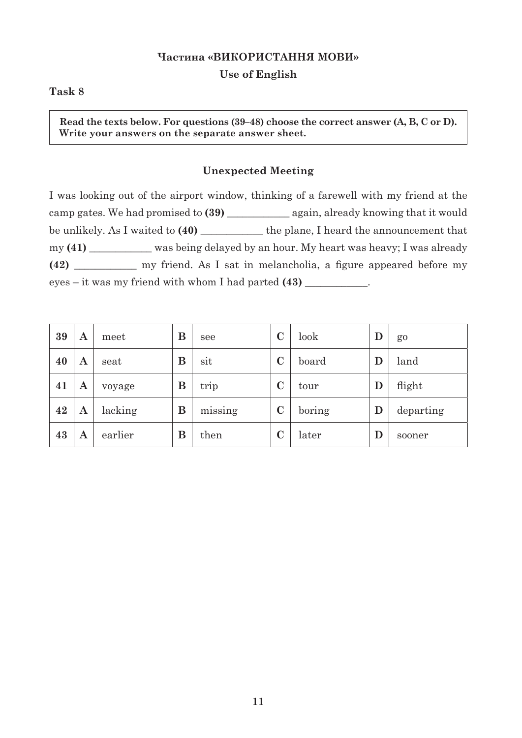#### Частина «ВИКОРИСТАННЯ МОВИ»

**Use of English** 

#### Task 8

Read the texts below. For questions (39–48) choose the correct answer (A, B, C or D). Write your answers on the separate answer sheet.

#### **Unexpected Meeting**

I was looking out of the airport window, thinking of a farewell with my friend at the camp gates. We had promised to (39) \_\_\_\_\_\_\_\_\_\_\_\_\_\_ again, already knowing that it would be unlikely. As I waited to (40) \_\_\_\_\_\_\_\_\_\_\_ the plane, I heard the announcement that my (41) was being delayed by an hour. My heart was heavy; I was already (42) \_\_\_\_\_\_\_\_\_\_\_\_ my friend. As I sat in melancholia, a figure appeared before my  $eyes - it was my friend with whom I had parted (43)$ .

| 39 | A                      | meet    | $\bf{B}$ | see     | $\mathbf C$        | look   | D           | $g_0$     |
|----|------------------------|---------|----------|---------|--------------------|--------|-------------|-----------|
| 40 | A                      | seat    | B        | sit     | $\mathbf C$        | board  | D           | land      |
| 41 | $\boldsymbol{\Lambda}$ | voyage  | B        | trip    | $\mathbf C$        | tour   | D           | flight    |
| 42 | $\bf A$                | lacking | B        | missing | $\mathbf C$        | boring | $\mathbf D$ | departing |
| 43 | A                      | earlier | B        | then    | $\overline{\rm C}$ | later  | D           | sooner    |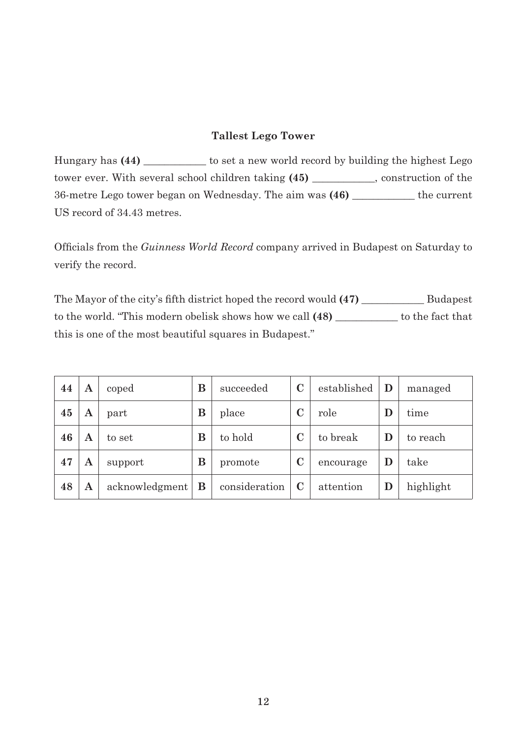### **Tallest Lego Tower**

Hungary has (44) \_\_\_\_\_\_\_\_\_\_ to set a new world record by building the highest Lego tower ever. With several school children taking (45) \_\_\_\_\_\_\_\_\_, construction of the 36-metre Lego tower began on Wednesday. The aim was (46) \_\_\_\_\_\_\_\_\_\_ the current US record of 34.43 metres.

Officials from the *Guinness World Record* company arrived in Budapest on Saturday to verify the record.

The Mayor of the city's fifth district hoped the record would (47) \_\_\_\_\_\_\_\_\_\_\_\_\_ Budapest to the world. "This modern obelisk shows how we call (48) \_\_\_\_\_\_\_\_\_\_\_ to the fact that this is one of the most beautiful squares in Budapest."

| 44 | A | coped          | B        | succeeded     | $\overline{\rm C}$ | established | D         | managed   |
|----|---|----------------|----------|---------------|--------------------|-------------|-----------|-----------|
| 45 | A | part           | B        | place         | $\overline{\rm C}$ | role        | $\bf D$   | time      |
| 46 | Α | to set         | B        | to hold       | $\overline{\rm C}$ | to break    | D         | to reach  |
| 47 | A | support        | B        | promote       | $\bf C$            | encourage   | D         | take      |
| 48 | A | acknowledgment | $\bf{B}$ | consideration | $\mathbf C$        | attention   | ${\bf D}$ | highlight |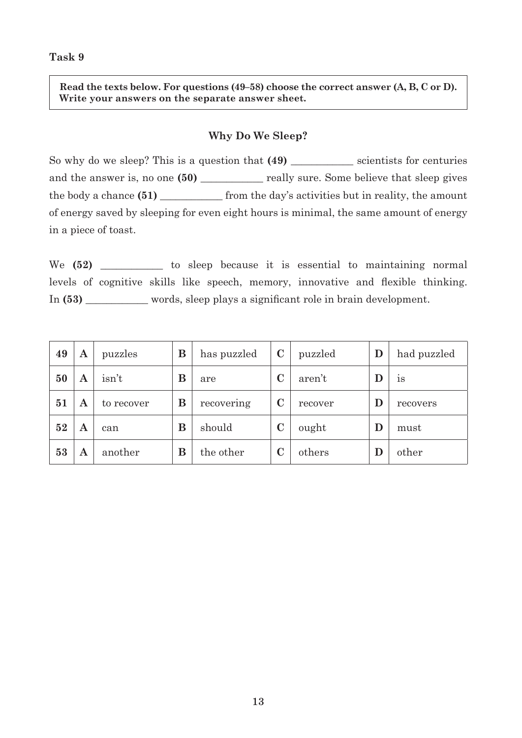Read the texts below. For questions (49–58) choose the correct answer (A, B, C or D). Write your answers on the separate answer sheet.

#### **Why Do We Sleep?**

So why do we sleep? This is a question that (49) \_\_\_\_\_\_\_\_\_ scientists for centuries and the answer is, no one (50) really sure. Some believe that sleep gives the body a chance (51) \_\_\_\_\_\_\_\_\_\_\_ from the day's activities but in reality, the amount of energy saved by sleeping for even eight hours is minimal, the same amount of energy in a piece of toast.

We (52) \_\_\_\_\_\_\_\_\_\_\_\_ to sleep because it is essential to maintaining normal levels of cognitive skills like speech, memory, innovative and flexible thinking. In (53) words, sleep plays a significant role in brain development.

| 49 | $\mathbf A$ | puzzles    | B | has puzzled | $\bf C$     | puzzled | D | had puzzled |
|----|-------------|------------|---|-------------|-------------|---------|---|-------------|
| 50 | A           | isn't      | B | are         | $\mathbf C$ | aren't  | D | 1S          |
| 51 | Α           | to recover | B | recovering  | $\mathbf C$ | recover | D | recovers    |
| 52 | Α           | can        | B | should      | $\mathbf C$ | ought   | D | must        |
| 53 | Α           | another    | B | the other   | $\mathbf C$ | others  | D | other       |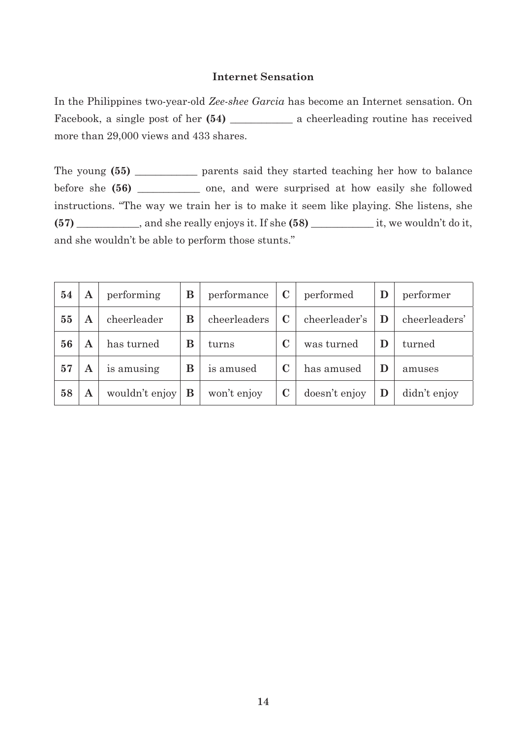#### **Internet Sensation**

In the Philippines two-year-old Zee-shee Garcia has become an Internet sensation. On Facebook, a single post of her  $(54)$  \_\_\_\_\_\_\_\_\_\_\_\_\_\_ a cheerleading routine has received more than 29,000 views and 433 shares.

The young (55) \_\_\_\_\_\_\_\_\_\_\_\_ parents said they started teaching her how to balance before she (56) \_\_\_\_\_\_\_\_\_ one, and were surprised at how easily she followed instructions. "The way we train her is to make it seem like playing. She listens, she **(57)** \_\_\_\_\_\_\_\_\_\_\_\_, and she really enjoys it. If she **(58)** \_\_\_\_\_\_\_\_\_\_\_\_\_\_\_ it, we wouldn't do it, and she wouldn't be able to perform those stunts."

| 54 | A | performing     | В | performance  | $\bf C$     | performed     | performer     |
|----|---|----------------|---|--------------|-------------|---------------|---------------|
| 55 | Α | cheerleader    | B | cheerleaders | $\bf C$     | cheerleader's | cheerleaders' |
| 56 | Α | has turned     | В | turns        | $\mathbf C$ | was turned    | turned        |
| 57 | Α | is amusing     | В | is amused    | $\mathbf C$ | has amused    | amuses        |
| 58 | Α | wouldn't enjoy | B | won't enjoy  | $\mathbf C$ | doesn't enjoy | didn't enjoy  |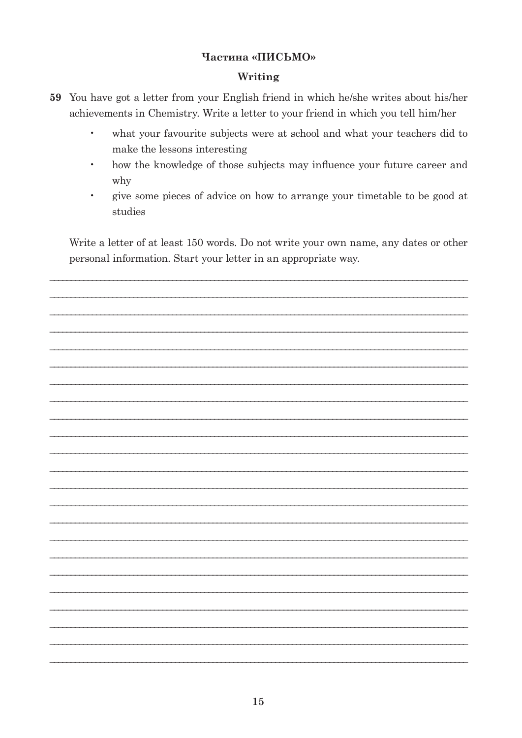## Частина «ПИСЬМО»

#### Writing

- 59 You have got a letter from your English friend in which he/she writes about his/her achievements in Chemistry. Write a letter to your friend in which you tell him/her
	- $\bullet$ what your favourite subjects were at school and what your teachers did to make the lessons interesting
	- how the knowledge of those subjects may influence your future career and  $\bullet$ why
	- $\bullet$ give some pieces of advice on how to arrange your timetable to be good at studies

Write a letter of at least 150 words. Do not write your own name, any dates or other personal information. Start your letter in an appropriate way.